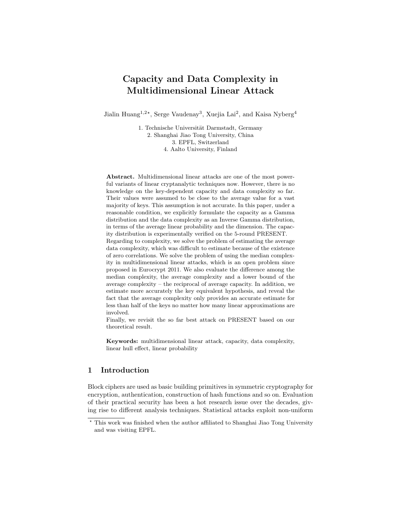# Capacity and Data Complexity in Multidimensional Linear Attack

Jialin Huang<sup>1,2\*</sup>, Serge Vaudenay<sup>3</sup>, Xuejia Lai<sup>2</sup>, and Kaisa Nyberg<sup>4</sup>

1. Technische Universität Darmstadt, Germany 2. Shanghai Jiao Tong University, China 3. EPFL, Switzerland 4. Aalto University, Finland

Abstract. Multidimensional linear attacks are one of the most powerful variants of linear cryptanalytic techniques now. However, there is no knowledge on the key-dependent capacity and data complexity so far. Their values were assumed to be close to the average value for a vast majority of keys. This assumption is not accurate. In this paper, under a reasonable condition, we explicitly formulate the capacity as a Gamma distribution and the data complexity as an Inverse Gamma distribution, in terms of the average linear probability and the dimension. The capacity distribution is experimentally verified on the 5-round PRESENT.

Regarding to complexity, we solve the problem of estimating the average data complexity, which was difficult to estimate because of the existence of zero correlations. We solve the problem of using the median complexity in multidimensional linear attacks, which is an open problem since proposed in Eurocrypt 2011. We also evaluate the difference among the median complexity, the average complexity and a lower bound of the average complexity – the reciprocal of average capacity. In addition, we estimate more accurately the key equivalent hypothesis, and reveal the fact that the average complexity only provides an accurate estimate for less than half of the keys no matter how many linear approximations are involved.

Finally, we revisit the so far best attack on PRESENT based on our theoretical result.

Keywords: multidimensional linear attack, capacity, data complexity, linear hull effect, linear probability

# 1 Introduction

Block ciphers are used as basic building primitives in symmetric cryptography for encryption, authentication, construction of hash functions and so on. Evaluation of their practical security has been a hot research issue over the decades, giving rise to different analysis techniques. Statistical attacks exploit non-uniform

<sup>?</sup> This work was finished when the author affiliated to Shanghai Jiao Tong University and was visiting EPFL.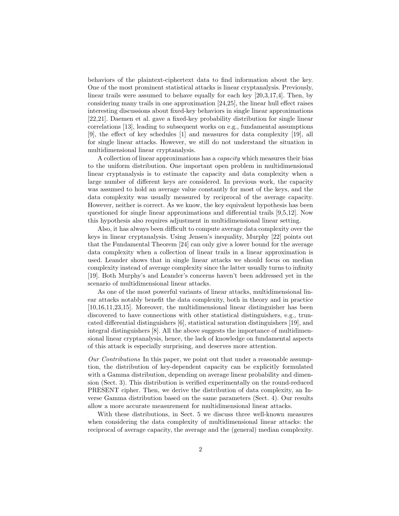behaviors of the plaintext-ciphertext data to find information about the key. One of the most prominent statistical attacks is linear cryptanalysis. Previously, linear trails were assumed to behave equally for each key [20,3,17,4]. Then, by considering many trails in one approximation [24,25], the linear hull effect raises interesting discussions about fixed-key behaviors in single linear approximations [22,21]. Daemen et al. gave a fixed-key probability distribution for single linear correlations [13], leading to subsequent works on e.g., fundamental assumptions [9], the effect of key schedules [1] and measures for data complexity [19], all for single linear attacks. However, we still do not understand the situation in multidimensional linear cryptanalysis.

A collection of linear approximations has a capacity which measures their bias to the uniform distribution. One important open problem in multidimensional linear cryptanalysis is to estimate the capacity and data complexity when a large number of different keys are considered. In previous work, the capacity was assumed to hold an average value constantly for most of the keys, and the data complexity was usually measured by reciprocal of the average capacity. However, neither is correct. As we know, the key equivalent hypothesis has been questioned for single linear approximations and differential trails [9,5,12]. Now this hypothesis also requires adjustment in multidimensional linear setting.

Also, it has always been difficult to compute average data complexity over the keys in linear cryptanalysis. Using Jensen's inequality, Murphy [22] points out that the Fundamental Theorem [24] can only give a lower bound for the average data complexity when a collection of linear trails in a linear approximation is used. Leander shows that in single linear attacks we should focus on median complexity instead of average complexity since the latter usually turns to infinity [19]. Both Murphy's and Leander's concerns haven't been addressed yet in the scenario of multidimensional linear attacks.

As one of the most powerful variants of linear attacks, multidimensional linear attacks notably benefit the data complexity, both in theory and in practice [10,16,11,23,15]. Moreover, the multidimensional linear distinguisher has been discovered to have connections with other statistical distinguishers, e.g., truncated differential distinguishers [6], statistical saturation distinguishers [19], and integral distinguishers [8]. All the above suggests the importance of multidimensional linear cryptanalysis, hence, the lack of knowledge on fundamental aspects of this attack is especially surprising, and deserves more attention.

Our Contributions In this paper, we point out that under a reasonable assumption, the distribution of key-dependent capacity can be explicitly formulated with a Gamma distribution, depending on average linear probability and dimension (Sect. 3). This distribution is verified experimentally on the round-reduced PRESENT cipher. Then, we derive the distribution of data complexity, an Inverse Gamma distribution based on the same parameters (Sect. 4). Our results allow a more accurate measurement for multidimensional linear attacks.

With these distributions, in Sect. 5 we discuss three well-known measures when considering the data complexity of multidimensional linear attacks: the reciprocal of average capacity, the average and the (general) median complexity.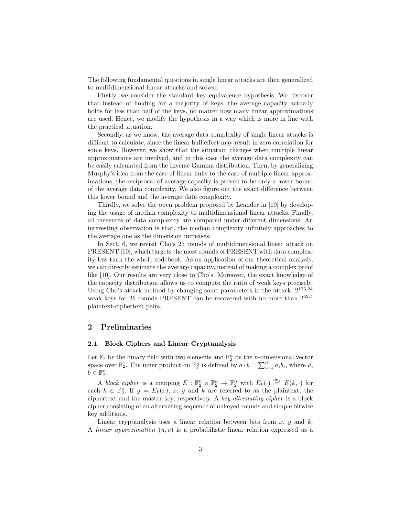The following fundamental questions in single linear attacks are then generalized to multidimensional linear attacks and solved.

Firstly, we consider the standard key equivalence hypothesis. We discover that instead of holding for a majority of keys, the average capacity actually holds for less than half of the keys, no matter how many linear approximations are used. Hence, we modify the hypothesis in a way which is more in line with the practical situation.

Secondly, as we know, the average data complexity of single linear attacks is difficult to calculate, since the linear hull effect may result in zero correlation for some keys. However, we show that the situation changes when multiple linear approximations are involved, and in this case the average data complexity can be easily calculated from the Inverse Gamma distribution. Then, by generalizing Murphy's idea from the case of linear hulls to the case of multiple linear approximations, the reciprocal of average capacity is proved to be only a lower bound of the average data complexity. We also figure out the exact difference between this lower bound and the average data complexity.

Thirdly, we solve the open problem proposed by Leander in [19] by developing the usage of median complexity to multidimensional linear attacks. Finally, all measures of data complexity are compared under different dimensions. An interesting observation is that, the median complexity infinitely approaches to the average one as the dimension increases.

In Sect. 6, we revisit Cho's 25 rounds of multidimensional linear attack on PRESENT [10], which targets the most rounds of PRESENT with data complexity less than the whole codebook. As an application of our theoretical analysis, we can directly estimate the average capacity, instead of making a complex proof like [10]. Our results are very close to Cho's. Moreover, the exact knowledge of the capacity distribution allows us to compute the ratio of weak keys precisely. Using Cho's attack method by changing some parameters in the attack,  $2^{123.24}$ weak keys for 26 rounds PRESENT can be recovered with no more than  $2^{62.5}$ plaintext-ciphertext pairs.

## 2 Preliminaries

#### 2.1 Block Ciphers and Linear Cryptanalysis

Let  $\mathbb{F}_2$  be the binary field with two elements and  $\mathbb{F}_2^n$  be the *n*-dimensional vector space over  $\mathbb{F}_2$ . The inner product on  $\mathbb{F}_2^n$  is defined by  $a \cdot b = \sum_{i=1}^n a_i b_i$ , where a,  $b \in \mathbb{F}_2^n$ .

A block cipher is a mapping  $E: \mathbb{F}_2^n \times \mathbb{F}_2^{\kappa} \to \mathbb{F}_2^n$  with  $E_k(\cdot) \stackrel{def}{=} E(k, \cdot)$  for each  $k \in \mathbb{F}_2^{\kappa}$ . If  $y = E_k(x)$ , x, y and k are referred to as the plaintext, the ciphertext and the master key, respectively. A key-alternating cipher is a block cipher consisting of an alternating sequence of unkeyed rounds and simple bitwise key additions.

Linear cryptanalysis uses a linear relation between bits from  $x, y$  and  $k$ . A *linear approximation*  $(u, v)$  is a probabilistic linear relation expressed as a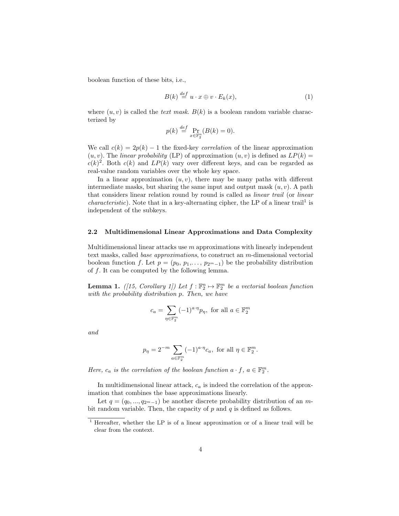boolean function of these bits, i.e.,

$$
B(k) \stackrel{def}{=} u \cdot x \oplus v \cdot E_k(x), \tag{1}
$$

where  $(u, v)$  is called the text mask.  $B(k)$  is a boolean random variable characterized by

$$
p(k) \stackrel{def}{=} \Pr_{x \in \mathbb{F}_2^n} (B(k) = 0).
$$

We call  $c(k) = 2p(k) - 1$  the fixed-key *correlation* of the linear approximation  $(u, v)$ . The linear probability (LP) of approximation  $(u, v)$  is defined as  $LP(k)$  $c(k)^2$ . Both  $c(k)$  and  $LP(k)$  vary over different keys, and can be regarded as real-value random variables over the whole key space.

In a linear approximation  $(u, v)$ , there may be many paths with different intermediate masks, but sharing the same input and output mask  $(u, v)$ . A path that considers linear relation round by round is called as linear trail (or linear  $characteristic$ ). Note that in a key-alternating cipher, the LP of a linear trail<sup>1</sup> is independent of the subkeys.

#### 2.2 Multidimensional Linear Approximations and Data Complexity

Multidimensional linear attacks use  $m$  approximations with linearly independent text masks, called base approximations, to construct an m-dimensional vectorial boolean function f. Let  $p = (p_0, p_1, \ldots, p_{2^m-1})$  be the probability distribution of  $f$ . It can be computed by the following lemma.

**Lemma 1.** ([15, Corollary 1]) Let  $f : \mathbb{F}_2^n \to \mathbb{F}_2^m$  be a vectorial boolean function with the probability distribution p. Then, we have

$$
c_a = \sum_{\eta \in \mathbb{F}_2^m} (-1)^{a \cdot \eta} p_\eta, \text{ for all } a \in \mathbb{F}_2^m
$$

and

$$
p_{\eta} = 2^{-m} \sum_{a \in \mathbb{F}_2^m} (-1)^{a \cdot \eta} c_a, \text{ for all } \eta \in \mathbb{F}_2^m.
$$

Here,  $c_a$  is the correlation of the boolean function  $a \cdot f$ ,  $a \in \mathbb{F}_2^m$ .

In multidimensional linear attack,  $c_a$  is indeed the correlation of the approximation that combines the base approximations linearly.

Let  $q = (q_0, ..., q_{2m-1})$  be another discrete probability distribution of an mbit random variable. Then, the capacity of  $p$  and  $q$  is defined as follows.

<sup>1</sup> Hereafter, whether the LP is of a linear approximation or of a linear trail will be clear from the context.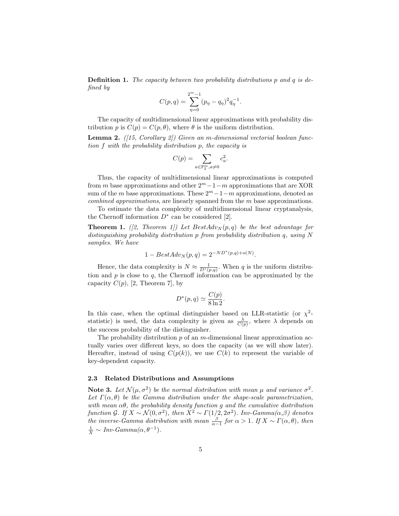**Definition 1.** The capacity between two probability distributions p and q is defined by

$$
C(p,q) = \sum_{\eta=0}^{2^m-1} (p_\eta - q_\eta)^2 q_\eta^{-1}.
$$

The capacity of multidimensional linear approximations with probability distribution p is  $C(p) = C(p, \theta)$ , where  $\theta$  is the uniform distribution.

**Lemma 2.** ([15, Corollary 2]) Given an m-dimensional vectorial boolean function f with the probability distribution p, the capacity is

$$
C(p) = \sum_{a \in \mathbb{F}_2^m, a \neq 0} c_a^2.
$$

Thus, the capacity of multidimensional linear approximations is computed from m base approximations and other  $2^m - 1 - m$  approximations that are XOR sum of the m base approximations. These  $2^m - 1 - m$  approximations, denoted as combined approximations, are linearly spanned from the m base approximations.

To estimate the data complexity of multidimensional linear cryptanalysis, the Chernoff information  $D^*$  can be considered [2].

**Theorem 1.** ([2, Theorem 1]) Let  $BestAdv_N(p,q)$  be the best advantage for distinguishing probability distribution p from probability distribution q, using N samples. We have

$$
1 - BestAdv_N(p, q) = 2^{-ND^*(p, q) + o(N)}.
$$

Hence, the data complexity is  $N \approx \frac{1}{D^*(p,q)}$ . When q is the uniform distribution and  $p$  is close to  $q$ , the Chernoff information can be approximated by the capacity  $C(p)$ , [2, Theorem 7], by

$$
D^*(p,q) \simeq \frac{C(p)}{8 \ln 2}.
$$

In this case, when the optimal distinguisher based on LLR-statistic (or  $\chi^2$ statistic) is used, the data complexity is given as  $\frac{\lambda}{C(p)}$ , where  $\lambda$  depends on the success probability of the distinguisher.

The probability distribution  $p$  of an m-dimensional linear approximation actually varies over different keys, so does the capacity (as we will show later). Hereafter, instead of using  $C(p(k))$ , we use  $C(k)$  to represent the variable of key-dependent capacity.

#### 2.3 Related Distributions and Assumptions

**Note 3.** Let  $\mathcal{N}(\mu, \sigma^2)$  be the normal distribution with mean  $\mu$  and variance  $\sigma^2$ . Let  $\Gamma(\alpha, \theta)$  be the Gamma distribution under the shape-scale parametrization, with mean  $\alpha\theta$ , the probability density function g and the cumulative distribution function G. If  $X \sim \mathcal{N}(0, \sigma^2)$ , then  $X^2 \sim \Gamma(1/2, 2\sigma^2)$ . Inv-Gamma $(\alpha, \beta)$  denotes the inverse-Gamma distribution with mean  $\frac{\beta}{\alpha-1}$  for  $\alpha > 1$ . If  $X \sim \Gamma(\alpha, \theta)$ , then  $\frac{1}{X} \sim Inv-Gamma(\alpha, \theta^{-1}).$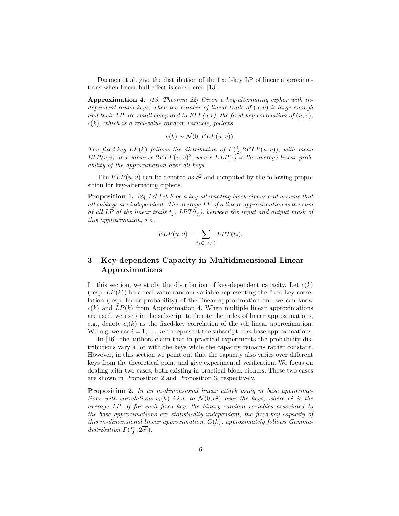Daemen et al. give the distribution of the fixed-key LP of linear approximations when linear hull effect is considered [13].

Approximation 4. [13, Theorem 22] Given a key-alternating cipher with independent round-keys, when the number of linear trails of  $(u, v)$  is large enough and their LP are small compared to  $ELP(u, v)$ , the fixed-key correlation of  $(u, v)$ ,  $c(k)$ , which is a real-value random variable, follows

$$
c(k) \sim \mathcal{N}(0, ELP(u, v)).
$$

The fixed-key  $LP(k)$  follows the distribution of  $\Gamma(\frac{1}{2}, 2ELP(u, v))$ , with mean  $ELP(u, v)$  and variance  $2ELP(u, v)^2$ , where  $ELP(\cdot)$  is the average linear probability of the approximation over all keys.

The  $ELP(u, v)$  can be denoted as  $c<sup>2</sup>$  and computed by the following proposition for key-alternating ciphers.

**Proposition 1.** [24,12] Let E be a key-alternating block cipher and assume that all subkeys are independent. The average LP of a linear approximation is the sum of all LP of the linear trails  $t_i$ , LPT( $t_i$ ), between the input and output mask of this approximation, i.e.,

$$
ELP(u, v) = \sum_{t_j \in (u, v)} LPT(t_j).
$$

# 3 Key-dependent Capacity in Multidimensional Linear Approximations

In this section, we study the distribution of key-dependent capacity. Let  $c(k)$ (resp.  $LP(k)$ ) be a real-value random variable representing the fixed-key correlation (resp. linear probability) of the linear approximation and we can know  $c(k)$  and  $LP(k)$  from Approximation 4. When multiple linear approximations are used, we use  $i$  in the subscript to denote the index of linear approximations, e.g., denote  $c_i(k)$  as the fixed-key correlation of the *i*th linear approximation. W.l.o.g, we use  $i = 1, \ldots, m$  to represent the subscript of m base approximations.

In [16], the authors claim that in practical experiments the probability distributions vary a lot with the keys while the capacity remains rather constant. However, in this section we point out that the capacity also varies over different keys from the theoretical point and give experimental verification. We focus on dealing with two cases, both existing in practical block ciphers. These two cases are shown in Proposition 2 and Proposition 3, respectively.

Proposition 2. In an m-dimensional linear attack using m base approximations with correlations  $c_i(k)$  i.i.d. to  $\mathcal{N}(0, c^2)$  over the keys, where  $c^2$  is the average LP. If for each fixed key, the binary random variables associated to the base approximations are statistically independent, the fixed-key capacity of this m-dimensional linear approximation,  $C(k)$ , approximately follows Gammadistribution  $\Gamma(\frac{m}{2}, 2\overline{c^2})$ .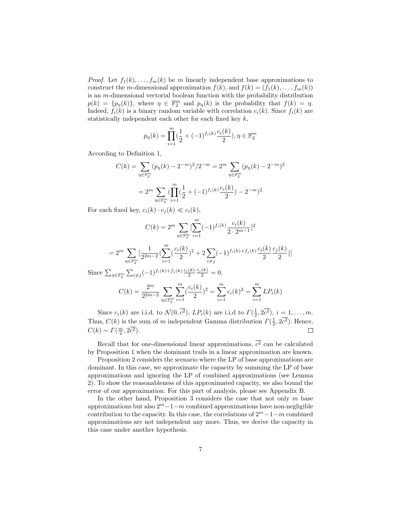*Proof.* Let  $f_1(k), \ldots, f_m(k)$  be m linearly independent base approximations to construct the m-dimensional approximation  $f(k)$ , and  $f(k) = (f_1(k), \ldots, f_m(k))$ is an m-dimensional vectorial boolean function with the probability distribution  $p(k) = \{p_{\eta}(k)\}\$ , where  $\eta \in \mathbb{F}_2^m$  and  $p_{\eta}(k)$  is the probability that  $f(k) = \eta$ . Indeed,  $f_i(k)$  is a binary random variable with correlation  $c_i(k)$ . Since  $f_i(k)$  are statistically independent each other for each fixed key  $k$ ,

$$
p_{\eta}(k) = \prod_{i=1}^{m} (\frac{1}{2} + (-1)^{f_i(k)} \frac{c_i(k)}{2}), \eta \in \mathbb{F}_2^m
$$

According to Definition 1,

$$
C(k) = \sum_{\eta \in \mathbb{F}_2^m} (p_\eta(k) - 2^{-m})^2 / 2^{-m} = 2^m \sum_{\eta \in \mathbb{F}_2^m} (p_\eta(k) - 2^{-m})^2
$$

$$
= 2^m \sum_{\eta \in \mathbb{F}_2^m} (\prod_{i=1}^m (\frac{1}{2} + (-1)^{f_i(k)} \frac{c_i(k)}{2}) - 2^{-m})^2
$$

For each fixed key,  $c_i(k) \cdot c_j(k) \ll c_i(k)$ ,

$$
C(k) = 2^m \sum_{\eta \in \mathbb{F}_2^m} \left[ \sum_{i=1}^m (-1)^{f_i(k)} \frac{c_i(k)}{2 \cdot 2^{m-1}} \right]^2
$$
  
= 
$$
2^m \sum_{\eta \in \mathbb{F}_2^m} \left[ \frac{1}{2^{2m-2}} \left( \sum_{i=1}^m \left( \frac{c_i(k)}{2} \right)^2 + 2 \sum_{i \neq j} (-1)^{f_i(k) + f_j(k)} \frac{c_i(k)}{2} \frac{c_j(k)}{2} \right) \right]
$$
  
Since  $\sum_{\eta \in \mathbb{F}_2^m} \sum_{i \neq j} (-1)^{f_i(k) + f_j(k)} \frac{c_i(k)}{2} \frac{c_j(k)}{2} = 0$ ,

$$
C(k) = \frac{2^m}{2^{2m-2}} \sum_{\eta \in \mathbb{F}_2^m} \sum_{i=1}^m \left(\frac{c_i(k)}{2}\right)^2 = \sum_{i=1}^m c_i(k)^2 = \sum_{i=1}^m LP_i(k)
$$

Since  $c_i(k)$  are i.i.d. to  $\mathcal{N}(0, \overline{c^2})$ ,  $LP_i(k)$  are i.i.d to  $\Gamma(\frac{1}{2}, 2\overline{c^2})$ ,  $i = 1, \ldots, m$ . Thus,  $C(k)$  is the sum of m independent Gamma distribution  $\Gamma(\frac{1}{2}, 2\overline{c^2})$ . Hence,  $C(k) \sim \Gamma(\frac{m}{2}, 2\overline{c^2}).$  $\Box$ 

Recall that for one-dimensional linear approximations,  $\overline{c^2}$  can be calculated by Proposition 1 when the dominant trails in a linear approximation are known.

Proposition 2 considers the scenario where the LP of base approximations are dominant. In this case, we approximate the capacity by summing the LP of base approximations and ignoring the LP of combined approximations (see Lemma 2). To show the reasonableness of this approximated capacity, we also bound the error of our approximation. For this part of analysis, please see Appendix B.

In the other hand, Proposition 3 considers the case that not only  $m$  base approximations but also  $2^m-1-m$  combined approximations have non-negligible contribution to the capacity. In this case, the correlations of  $2^m-1-m$  combined approximations are not independent any more. Thus, we derive the capacity in this case under another hypothesis.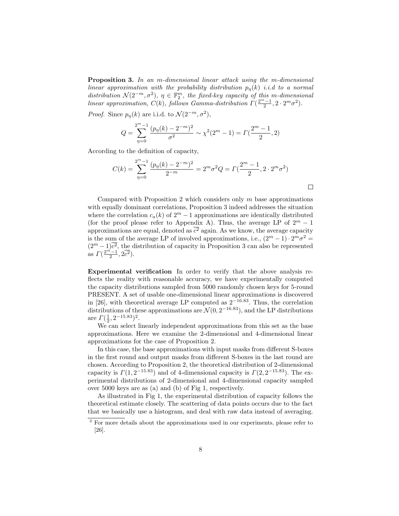Proposition 3. In an m-dimensional linear attack using the m-dimensional linear approximation with the probability distribution  $p_n(k)$  i.i.d to a normal distribution  $\mathcal{N}(2^{-m}, \sigma^2)$ ,  $\eta \in \mathbb{F}_2^m$ , the fixed-key capacity of this m-dimensional linear approximation,  $C(k)$ , follows Gamma-distribution  $\Gamma(\frac{2^m-1}{2}, 2 \cdot 2^m \sigma^2)$ .

*Proof.* Since  $p_{\eta}(k)$  are i.i.d. to  $\mathcal{N}(2^{-m}, \sigma^2)$ ,

$$
Q = \sum_{n=0}^{2^m - 1} \frac{(p_n(k) - 2^{-m})^2}{\sigma^2} \sim \chi^2(2^m - 1) = \Gamma(\frac{2^m - 1}{2}, 2)
$$

According to the definition of capacity,

$$
C(k) = \sum_{n=0}^{2^m - 1} \frac{(p_n(k) - 2^{-m})^2}{2^{-m}} = 2^m \sigma^2 Q = \Gamma(\frac{2^m - 1}{2}, 2 \cdot 2^m \sigma^2)
$$

 $\Box$ 

Compared with Proposition 2 which considers only  $m$  base approximations with equally dominant correlations, Proposition 3 indeed addresses the situation where the correlation  $c_a(k)$  of  $2^m - 1$  approximations are identically distributed (for the proof please refer to Appendix A). Thus, the average LP of  $2^m - 1$ approximations are equal, denoted as  $c^2$  again. As we know, the average capacity is the sum of the average LP of involved approximations, i.e.,  $(2^m - 1) \cdot 2^m \sigma^2 =$  $(2<sup>m</sup> - 1)\overline{c<sup>2</sup>}$ , the distribution of capacity in Proposition 3 can also be represented as  $\Gamma(\frac{2^{m}-1}{2}, 2\overline{c^2})$ .

Experimental verification In order to verify that the above analysis reflects the reality with reasonable accuracy, we have experimentally computed the capacity distributions sampled from 5000 randomly chosen keys for 5-round PRESENT. A set of usable one-dimensional linear approximations is discovered in [26], with theoretical average LP computed as  $2^{-16.83}$ . Thus, the correlation distributions of these approximations are  $\mathcal{N}(0, 2^{-16.83})$ , and the LP distributions are  $\Gamma(\frac{1}{2}, 2^{-15.83})^2$ .

We can select linearly independent approximations from this set as the base approximations. Here we examine the 2-dimensional and 4-dimensional linear approximations for the case of Proposition 2.

In this case, the base approximations with input masks from different S-boxes in the first round and output masks from different S-boxes in the last round are chosen. According to Proposition 2, the theoretical distribution of 2-dimensional capacity is  $\Gamma(1, 2^{-15.83})$  and of 4-dimensional capacity is  $\Gamma(2, 2^{-15.83})$ . The experimental distributions of 2-dimensional and 4-dimensional capacity sampled over 5000 keys are as (a) and (b) of Fig 1, respectively.

As illustrated in Fig 1, the experimental distribution of capacity follows the theoretical estimate closely. The scattering of data points occurs due to the fact that we basically use a histogram, and deal with raw data instead of averaging.

 $^{\rm 2}$  For more details about the approximations used in our experiments, please refer to [26].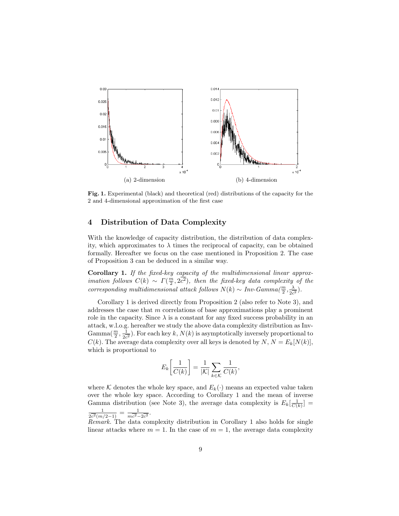

Fig. 1. Experimental (black) and theoretical (red) distributions of the capacity for the 2 and 4-dimensional approximation of the first case

# 4 Distribution of Data Complexity

With the knowledge of capacity distribution, the distribution of data complexity, which approximates to  $\lambda$  times the reciprocal of capacity, can be obtained formally. Hereafter we focus on the case mentioned in Proposition 2. The case of Proposition 3 can be deduced in a similar way.

Corollary 1. If the fixed-key capacity of the multidimensional linear approximation follows  $C(k) \sim \Gamma(\frac{m}{2}, 2\overline{c^2})$ , then the fixed-key data complexity of the corresponding multidimensional attack follows  $N(k) \sim Inv-Gamma(\frac{m}{2}, \frac{\lambda}{2c})$  $\frac{\lambda}{2c^2}\big).$ 

Corollary 1 is derived directly from Proposition 2 (also refer to Note 3), and addresses the case that m correlations of base approximations play a prominent role in the capacity. Since  $\lambda$  is a constant for any fixed success probability in an attack, w.l.o.g. hereafter we study the above data complexity distribution as Inv-Gamma $(\frac{m}{2}, \frac{1}{2c})$  $\frac{1}{2c^2}$ ). For each key k,  $N(k)$  is asymptotically inversely proportional to  $C(k)$ . The average data complexity over all keys is denoted by  $N, N = E_k[N(k)]$ , which is proportional to

$$
E_k\left[\frac{1}{C(k)}\right] = \frac{1}{|\mathcal{K}|} \sum_{k \in \mathcal{K}} \frac{1}{C(k)},
$$

where K denotes the whole key space, and  $E_k(\cdot)$  means an expected value taken over the whole key space. According to Corollary 1 and the mean of inverse Gamma distribution (see Note 3), the average data complexity is  $E_k[\frac{1}{C(k)}] =$ 1

 $\frac{1}{2c^2(m/2-1)} = \frac{1}{mc^2-1}$  $\frac{1}{m\overline{c^2}-2\overline{c^2}}$ .

Remark. The data complexity distribution in Corollary 1 also holds for single linear attacks where  $m = 1$ . In the case of  $m = 1$ , the average data complexity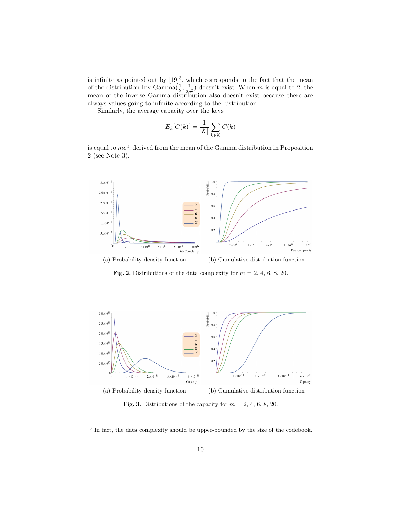is infinite as pointed out by  $[19]^3$ , which corresponds to the fact that the mean of the distribution Inv-Gamma $(\frac{1}{2}, \frac{1}{2c})$  $\frac{1}{2c^2}$ ) doesn't exist. When m is equal to 2, the mean of the inverse Gamma distribution also doesn't exist because there are always values going to infinite according to the distribution.

Similarly, the average capacity over the keys

$$
E_k[C(k)] = \frac{1}{|\mathcal{K}|} \sum_{k \in \mathcal{K}} C(k)
$$

is equal to  $mc^2$ , derived from the mean of the Gamma distribution in Proposition 2 (see Note 3).



Fig. 2. Distributions of the data complexity for  $m = 2, 4, 6, 8, 20$ .



Fig. 3. Distributions of the capacity for  $m = 2, 4, 6, 8, 20$ .

<sup>&</sup>lt;sup>3</sup> In fact, the data complexity should be upper-bounded by the size of the codebook.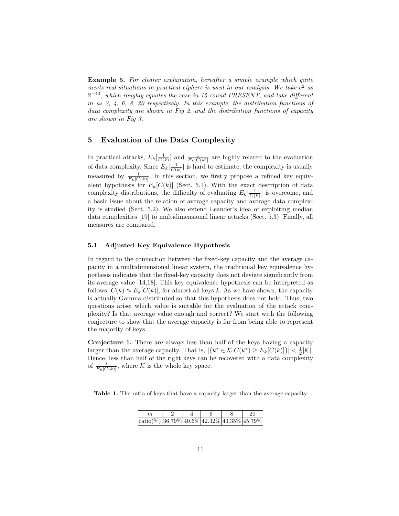Example 5. For clearer explanation, hereafter a simple example which quite meets real situations in practical ciphers is used in our analysis. We take  $c<sup>2</sup>$  as  $2^{-40}$ , which roughly equates the case in 15-round PRESENT, and take different m as  $2, 4, 6, 8, 20$  respectively. In this example, the distribution functions of data complexity are shown in Fig 2, and the distribution functions of capacity are shown in Fig 3.

## 5 Evaluation of the Data Complexity

In practical attacks,  $E_k[\frac{1}{C(k)}]$  and  $\frac{1}{E_k[C(k)]}$  are highly related to the evaluation of data complexity. Since  $E_k[\frac{1}{C(k)}]$  is hard to estimate, the complexity is usually measured by  $\frac{1}{E_k[C(k)]}$ . In this section, we firstly propose a refined key equivalent hypothesis for  $E_k[C(k)]$  (Sect. 5.1). With the exact description of data complexity distributions, the difficulty of evaluating  $E_k[\frac{1}{C(k)}]$  is overcome, and a basic issue about the relation of average capacity and average data complexity is studied (Sect. 5.2). We also extend Leander's idea of exploiting median data complexities [19] to multidimensional linear attacks (Sect. 5.3). Finally, all measures are compared.

#### 5.1 Adjusted Key Equivalence Hypothesis

In regard to the connection between the fixed-key capacity and the average capacity in a multidimensional linear system, the traditional key equivalence hypothesis indicates that the fixed-key capacity does not deviate significantly from its average value [14,18]. This key equivalence hypothesis can be interpreted as follows:  $C(k) \approx E_k[C(k)]$ , for almost all keys k. As we have shown, the capacity is actually Gamma distributed so that this hypothesis does not hold. Thus, two questions arise: which value is suitable for the evaluation of the attack complexity? Is that average value enough and correct? We start with the following conjecture to show that the average capacity is far from being able to represent the majority of keys.

Conjecture 1. There are always less than half of the keys having a capacity larger than the average capacity. That is,  $|\{k^* \in \mathcal{K} | C(k^*) \ge E_k[C(k)]\}| < \frac{1}{2}|\mathcal{K}|$ . Hence, less than half of the right keys can be recovered with a data complexity of  $\frac{\lambda}{E_k[C(k)]}$ , where K is the whole key space.

Table 1. The ratio of keys that have a capacity larger than the average capacity

|                                                                                              |  |  | -20 |
|----------------------------------------------------------------------------------------------|--|--|-----|
| $\frac{\pi \text{atio}(\%) 36.79\% 40.6\% 42.32\% 43.35\% 45.79\%}{42.32\% 43.35\% 45.79\%}$ |  |  |     |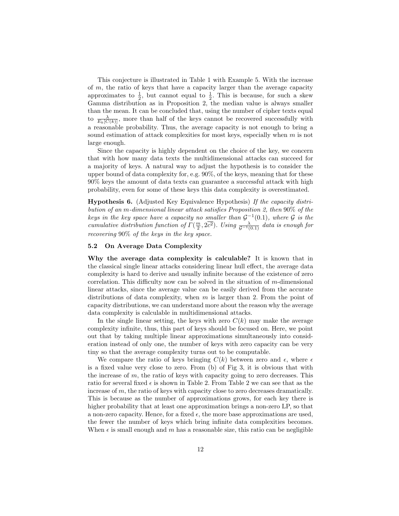This conjecture is illustrated in Table 1 with Example 5. With the increase of  $m$ , the ratio of keys that have a capacity larger than the average capacity approximates to  $\frac{1}{2}$ , but cannot equal to  $\frac{1}{2}$ . This is because, for such a skew Gamma distribution as in Proposition 2, the median value is always smaller than the mean. It can be concluded that, using the number of cipher texts equal to  $\frac{\lambda}{E_k[C(k)]}$ , more than half of the keys cannot be recovered successfully with a reasonable probability. Thus, the average capacity is not enough to bring a sound estimation of attack complexities for most keys, especially when  $m$  is not large enough.

Since the capacity is highly dependent on the choice of the key, we concern that with how many data texts the multidimensional attacks can succeed for a majority of keys. A natural way to adjust the hypothesis is to consider the upper bound of data complexity for, e.g. 90%, of the keys, meaning that for these 90% keys the amount of data texts can guarantee a successful attack with high probability, even for some of these keys this data complexity is overestimated.

Hypothesis 6. (Adjusted Key Equivalence Hypothesis) If the capacity distribution of an m-dimensional linear attack satisfies Proposition 2, then 90% of the keys in the key space have a capacity no smaller than  $G^{-1}(0.1)$ , where G is the cumulative distribution function of  $\Gamma(\frac{m}{2}, 2\overline{c^2})$ . Using  $\frac{\lambda}{\mathcal{G}^{-1}(0,1)}$  data is enough for recovering 90% of the keys in the key space.

#### 5.2 On Average Data Complexity

Why the average data complexity is calculable? It is known that in the classical single linear attacks considering linear hull effect, the average data complexity is hard to derive and usually infinite because of the existence of zero correlation. This difficulty now can be solved in the situation of  $m$ -dimensional linear attacks, since the average value can be easily derived from the accurate distributions of data complexity, when  $m$  is larger than 2. From the point of capacity distributions, we can understand more about the reason why the average data complexity is calculable in multidimensional attacks.

In the single linear setting, the keys with zero  $C(k)$  may make the average complexity infinite, thus, this part of keys should be focused on. Here, we point out that by taking multiple linear approximations simultaneously into consideration instead of only one, the number of keys with zero capacity can be very tiny so that the average complexity turns out to be computable.

We compare the ratio of keys bringing  $C(k)$  between zero and  $\epsilon$ , where  $\epsilon$ is a fixed value very close to zero. From (b) of Fig 3, it is obvious that with the increase of  $m$ , the ratio of keys with capacity going to zero decreases. This ratio for several fixed  $\epsilon$  is shown in Table 2. From Table 2 we can see that as the increase of m, the ratio of keys with capacity close to zero decreases dramatically. This is because as the number of approximations grows, for each key there is higher probability that at least one approximation brings a non-zero LP, so that a non-zero capacity. Hence, for a fixed  $\epsilon$ , the more base approximations are used, the fewer the number of keys which bring infinite data complexities becomes. When  $\epsilon$  is small enough and m has a reasonable size, this ratio can be negligible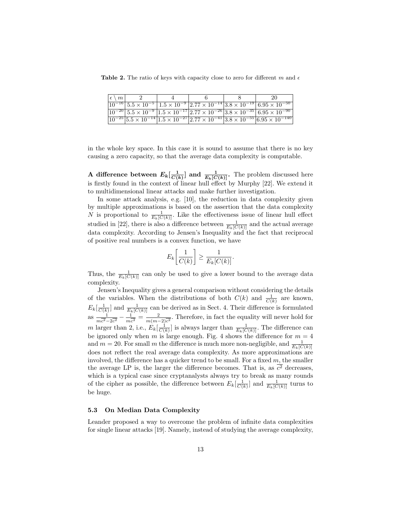**Table 2.** The ratio of keys with capacity close to zero for different m and  $\epsilon$ 

| $\vert \epsilon \setminus m \vert$ |  |  | 20                                                                                                                                                                            |
|------------------------------------|--|--|-------------------------------------------------------------------------------------------------------------------------------------------------------------------------------|
|                                    |  |  | $\boxed{10^{-16}$ 5.5 $\times$ $10^{-5}$ $\boxed{1.5 \times 10^{-9}$ $\boxed{2.77 \times 10^{-14}}$ $\boxed{3.8 \times 10^{-19}}$ $\boxed{6.95 \times 10^{-50}}$              |
|                                    |  |  | $\frac{10^{-20}}{10^{-20}} \frac{5.5 \times 10^{-9}}{1.5 \times 10^{-17}} \frac{2.77 \times 10^{-26}}{3.8 \times 10^{-35}} \frac{6.95 \times 10^{-90}}{6.95 \times 10^{-90}}$ |
|                                    |  |  | $\left[10^{-25}\right]5.5\times10^{-14}\left[1.5\times10^{-27}\right]2.77\times10^{-41}\left[3.8\times10^{-55}\right]6.95\times10^{-140}\right]$                              |

in the whole key space. In this case it is sound to assume that there is no key causing a zero capacity, so that the average data complexity is computable.

A difference between  $E_k[\frac{1}{C(k)}]$  and  $\frac{1}{E_k[C(k)]}$ . The problem discussed here is firstly found in the context of linear hull effect by Murphy [22]. We extend it to multidimensional linear attacks and make further investigation.

In some attack analysis, e.g. [10], the reduction in data complexity given by multiple approximations is based on the assertion that the data complexity N is proportional to  $\frac{1}{E_k[C(k)]}$ . Like the effectiveness issue of linear hull effect studied in [22], there is also a difference between  $\frac{1}{E_k[C(k)]}$  and the actual average data complexity. According to Jensen's Inequality and the fact that reciprocal of positive real numbers is a convex function, we have

$$
E_k\left[\frac{1}{C(k)}\right] \ge \frac{1}{E_k[C(k)]}.
$$

Thus, the  $\frac{1}{E_k[C(k)]}$  can only be used to give a lower bound to the average data complexity.

Jensen's Inequality gives a general comparison without considering the details of the variables. When the distributions of both  $C(k)$  and  $\frac{1}{C(k)}$  are known,  $E_k[\frac{1}{C(k)}]$  and  $\frac{1}{E_k[C(k)]}$  can be derived as in Sect. 4. Their difference is formulated as  $\frac{1}{mc^2 - 2c^2} - \frac{1}{mc}$  $\frac{1}{m c^2} = \frac{2}{m(m-1)}$  $\frac{2}{m(m-2)\overline{c^2}}$ . Therefore, in fact the equality will never hold for m larger than 2, i.e.,  $E_k[\frac{1}{C(k)}]$  is always larger than  $\frac{1}{E_k[C(k)]}$ . The difference can be ignored only when m is large enough. Fig. 4 shows the difference for  $m = 4$ and  $m = 20$ . For small m the difference is much more non-negligible, and  $\frac{1}{E_k[C(k)]}$ does not reflect the real average data complexity. As more approximations are involved, the difference has a quicker trend to be small. For a fixed  $m$ , the smaller the average LP is, the larger the difference becomes. That is, as  $\overline{c^2}$  decreases, which is a typical case since cryptanalysts always try to break as many rounds of the cipher as possible, the difference between  $E_k[\frac{1}{C(k)}]$  and  $\frac{1}{E_k[C(k)]}$  turns to be huge.

#### 5.3 On Median Data Complexity

Leander proposed a way to overcome the problem of infinite data complexities for single linear attacks [19]. Namely, instead of studying the average complexity,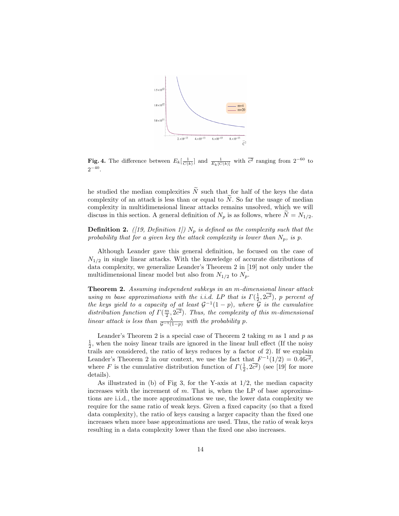

**Fig. 4.** The difference between  $E_k[\frac{1}{C(k)}]$  and  $\frac{1}{E_k[C(k)]}$  with  $\overline{c^2}$  ranging from  $2^{-60}$  to  $2^{-40}$ .

he studied the median complexities  $\widetilde{N}$  such that for half of the keys the data complexity of an attack is less than or equal to  $N$ . So far the usage of median complexity in multidimensional linear attacks remains unsolved, which we will discuss in this section. A general definition of  $N_p$  is as follows, where  $\tilde{N}=N_{1/2}$ .

**Definition 2.** ([19, Definition 1])  $N_p$  is defined as the complexity such that the probability that for a given key the attack complexity is lower than  $N_p$ , is p.

Although Leander gave this general definition, he focused on the case of  $N_{1/2}$  in single linear attacks. With the knowledge of accurate distributions of data complexity, we generalize Leander's Theorem 2 in [19] not only under the multidimensional linear model but also from  $N_{1/2}$  to  $N_p$ .

Theorem 2. Assuming independent subkeys in an m-dimensional linear attack using m base approximations with the i.i.d. LP that is  $\Gamma(\frac{1}{2}, 2\overline{c^2})$ , p percent of the keys yield to a capacity of at least  $\mathcal{G}^{-1}(1-p)$ , where  $\mathcal G$  is the cumulative distribution function of  $\Gamma(\frac{m}{2}, 2\overline{c^2})$ . Thus, the complexity of this m-dimensional linear attack is less than  $\frac{\lambda}{\mathcal{G}^{-1}(1-p)}$  with the probability p.

Leander's Theorem 2 is a special case of Theorem 2 taking  $m$  as 1 and  $p$  as  $\frac{1}{2}$ , when the noisy linear trails are ignored in the linear hull effect (If the noisy trails are considered, the ratio of keys reduces by a factor of 2). If we explain Leander's Theorem 2 in our context, we use the fact that  $F^{-1}(1/2) = 0.46\overline{c^2}$ , where F is the cumulative distribution function of  $\Gamma(\frac{1}{2}, 2\overline{c^2})$  (see [19] for more details).

As illustrated in (b) of Fig 3, for the Y-axis at  $1/2$ , the median capacity increases with the increment of  $m$ . That is, when the LP of base approximations are i.i.d., the more approximations we use, the lower data complexity we require for the same ratio of weak keys. Given a fixed capacity (so that a fixed data complexity), the ratio of keys causing a larger capacity than the fixed one increases when more base approximations are used. Thus, the ratio of weak keys resulting in a data complexity lower than the fixed one also increases.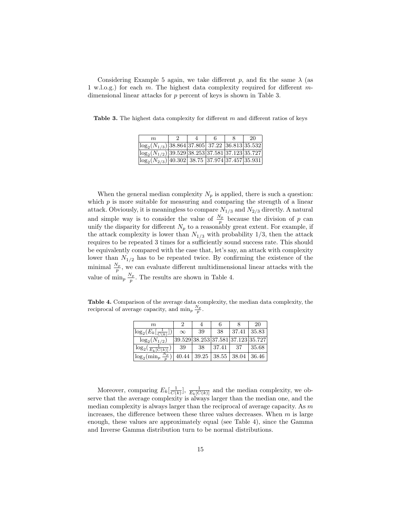Considering Example 5 again, we take different p, and fix the same  $\lambda$  (as 1 w.l.o.g.) for each m. The highest data complexity required for different mdimensional linear attacks for p percent of keys is shown in Table 3.

**Table 3.** The highest data complexity for different  $m$  and different ratios of keys

| m                                                               |  | 6 | 20 |
|-----------------------------------------------------------------|--|---|----|
| $\log_2(N_{1/3})$ 38.864 37.805 37.22 36.813 35.532             |  |   |    |
| $\log_2(\overline{N_{1/2}})$ 39.529 38.253 37.581 37.123 35.727 |  |   |    |
| $\log_2(N_2/3)/40.302/38.75/37.974/37.457/35.931$               |  |   |    |

When the general median complexity  $N_p$  is applied, there is such a question: which  $p$  is more suitable for measuring and comparing the strength of a linear attack. Obviously, it is meaningless to compare  $N_{1/3}$  and  $N_{2/3}$  directly. A natural and simple way is to consider the value of  $\frac{N_p}{p}$  because the division of p can unify the disparity for different  $N_p$  to a reasonably great extent. For example, if the attack complexity is lower than  $N_{1/3}$  with probability 1/3, then the attack requires to be repeated 3 times for a sufficiently sound success rate. This should be equivalently compared with the case that, let's say, an attack with complexity lower than  $N_{1/2}$  has to be repeated twice. By confirming the existence of the minimal  $\frac{N_p}{p}$ , we can evaluate different multidimensional linear attacks with the value of  $\min_p \frac{N_p}{p}$ . The results are shown in Table 4.

Table 4. Comparison of the average data complexity, the median data complexity, the reciprocal of average capacity, and  $\min_p \frac{N_p}{p}$ .

| m                                          |                                        |    |                               |       | 20          |
|--------------------------------------------|----------------------------------------|----|-------------------------------|-------|-------------|
| $ \overline{\log_2}(E_k[\frac{1}{C(k)}]) $ | $\infty$                               | 39 | 38                            | 37.41 | 135.83      |
| $\log_2(N_{1/2})$                          | 39.529  38.253  37.581  37.123  35.727 |    |                               |       |             |
| $\log_2(\frac{1}{E_k[C(k)]})$              | -39                                    | 38 | 37.41                         | -37   | 35.68       |
| $\log_2(\min_p$                            | 40.44                                  |    | $39.25 \mid 38.55 \mid 38.04$ |       | $\pm 36.46$ |

Moreover, comparing  $E_k[\frac{1}{C(k)}], \frac{1}{E_k[C(k)]}$  and the median complexity, we observe that the average complexity is always larger than the median one, and the median complexity is always larger than the reciprocal of average capacity. As  $m$ increases, the difference between these three values decreases. When  $m$  is large enough, these values are approximately equal (see Table 4), since the Gamma and Inverse Gamma distribution turn to be normal distributions.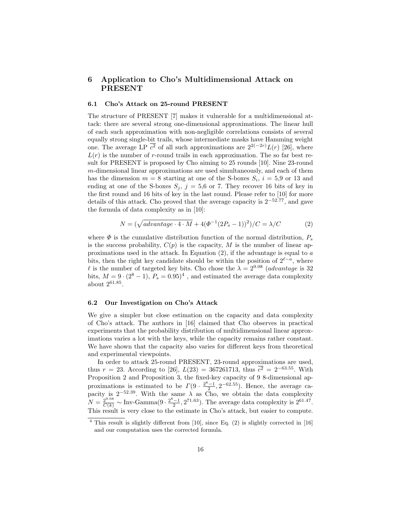# 6 Application to Cho's Multidimensional Attack on PRESENT

#### 6.1 Cho's Attack on 25-round PRESENT

The structure of PRESENT [7] makes it vulnerable for a multidimensional attack: there are several strong one-dimensional approximations. The linear hull of each such approximation with non-negligible correlations consists of several equally strong single-bit trails, whose intermediate masks have Hamming weight one. The average LP  $\overline{c^2}$  of all such approximations are  $2^{2(-2r)}L(r)$  [26], where  $L(r)$  is the number of r-round trails in each approximation. The so far best result for PRESENT is proposed by Cho aiming to 25 rounds [10]. Nine 23-round m-dimensional linear approximations are used simultaneously, and each of them has the dimension  $m = 8$  starting at one of the S-boxes  $S_i$ ,  $i = 5.9$  or 13 and ending at one of the S-boxes  $S_j$ ,  $j = 5.6$  or 7. They recover 16 bits of key in the first round and 16 bits of key in the last round. Please refer to [10] for more details of this attack. Cho proved that the average capacity is  $2^{-52.77}$ , and gave the formula of data complexity as in [10]:

$$
N = (\sqrt{advantage \cdot 4 \cdot M} + 4(\Phi^{-1}(2P_s - 1))^2)/C = \lambda/C \tag{2}
$$

where  $\Phi$  is the cumulative distribution function of the normal distribution,  $P_s$ is the success probability,  $C(p)$  is the capacity, M is the number of linear approximations used in the attack. In Equation  $(2)$ , if the advantage is equal to a bits, then the right key candidate should be within the position of  $2^{\ell-a}$ , where l is the number of targeted key bits. Cho chose the  $\lambda = 2^{9.08}$  (advantage is 32) bits,  $M = 9 \cdot (2^8 - 1)$ ,  $P_s = 0.95)^4$ , and estimated the average data complexity about  $2^{61.85}$ .

#### 6.2 Our Investigation on Cho's Attack

We give a simpler but close estimation on the capacity and data complexity of Cho's attack. The authors in [16] claimed that Cho observes in practical experiments that the probability distribution of multidimensional linear approximations varies a lot with the keys, while the capacity remains rather constant. We have shown that the capacity also varies for different keys from theoretical and experimental viewpoints.

In order to attack 25-round PRESENT, 23-round approximations are used, thus  $r = 23$ . According to [26],  $L(23) = 367261713$ , thus  $\overline{c^2} = 2^{-63.55}$ . With Proposition 2 and Proposition 3, the fixed-key capacity of 9 8-dimensional approximations is estimated to be  $\Gamma(9 \cdot \frac{2^8-1}{2}, 2^{-62.55})$ . Hence, the average caproximations is estimated to be  $\frac{1}{2}$ ,  $\frac{2}{2}$ ,  $\frac{2}{2}$ ,  $\frac{1}{2}$ . Hence, the average capacity is  $2^{-52.39}$ . With the same  $\lambda$  as Cho, we obtain the data complexity  $N = \frac{2^{9.08}}{C(k)} \sim \text{Inv-Gamma}(9 \cdot \frac{2^8 - 1}{2}, 2^{71.63})$ . The average data complexity is  $2^{61.47}$ . This result is very close to the estimate in Cho's attack, but easier to compute.

 $4$  This result is slightly different from [10], since Eq. (2) is slightly corrected in [16] and our computation uses the corrected formula.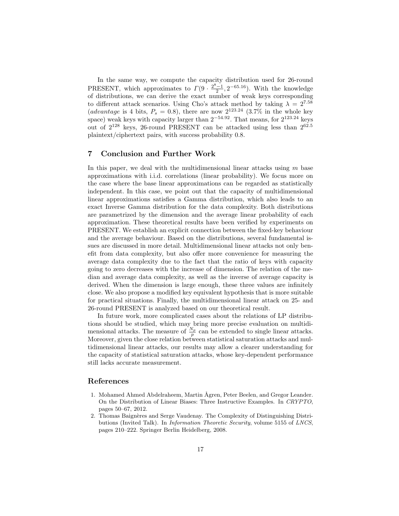In the same way, we compute the capacity distribution used for 26-round PRESENT, which approximates to  $\Gamma(9 \cdot \frac{2^8-1}{2}, 2^{-65.16})$ . With the knowledge of distributions, we can derive the exact number of weak keys corresponding to different attack scenarios. Using Cho's attack method by taking  $\lambda = 2^{7.58}$ (advantage is 4 bits,  $P_s = 0.8$ ), there are now  $2^{123.24}$  (3.7% in the whole key space) weak keys with capacity larger than  $2^{-54.92}$ . That means, for  $2^{123.24}$  keys out of 2<sup>128</sup> keys, 26-round PRESENT can be attacked using less than 262.<sup>5</sup> plaintext/ciphertext pairs, with success probability 0.8.

### 7 Conclusion and Further Work

In this paper, we deal with the multidimensional linear attacks using  $m$  base approximations with i.i.d. correlations (linear probability). We focus more on the case where the base linear approximations can be regarded as statistically independent. In this case, we point out that the capacity of multidimensional linear approximations satisfies a Gamma distribution, which also leads to an exact Inverse Gamma distribution for the data complexity. Both distributions are parametrized by the dimension and the average linear probability of each approximation. These theoretical results have been verified by experiments on PRESENT. We establish an explicit connection between the fixed-key behaviour and the average behaviour. Based on the distributions, several fundamental issues are discussed in more detail. Multidimensional linear attacks not only benefit from data complexity, but also offer more convenience for measuring the average data complexity due to the fact that the ratio of keys with capacity going to zero decreases with the increase of dimension. The relation of the median and average data complexity, as well as the inverse of average capacity is derived. When the dimension is large enough, these three values are infinitely close. We also propose a modified key equivalent hypothesis that is more suitable for practical situations. Finally, the multidimensional linear attack on 25- and 26-round PRESENT is analyzed based on our theoretical result.

In future work, more complicated cases about the relations of LP distributions should be studied, which may bring more precise evaluation on multidimensional attacks. The measure of  $\frac{N_p}{p}$  can be extended to single linear attacks. Moreover, given the close relation between statistical saturation attacks and multidimensional linear attacks, our results may allow a clearer understanding for the capacity of statistical saturation attacks, whose key-dependent performance still lacks accurate measurement.

### References

- 1. Mohamed Ahmed Abdelraheem, Martin Ågren, Peter Beelen, and Gregor Leander. On the Distribution of Linear Biases: Three Instructive Examples. In CRYPTO, pages 50–67, 2012.
- 2. Thomas Baignères and Serge Vaudenay. The Complexity of Distinguishing Distributions (Invited Talk). In Information Theoretic Security, volume 5155 of LNCS, pages 210–222. Springer Berlin Heidelberg, 2008.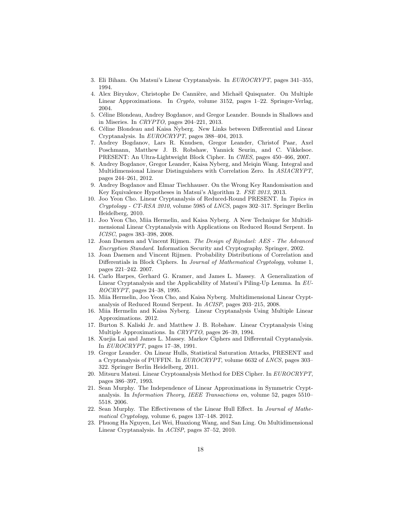- 3. Eli Biham. On Matsui's Linear Cryptanalysis. In EUROCRYPT, pages 341–355, 1994.
- 4. Alex Biryukov, Christophe De Cannière, and Michaël Quisquater. On Multiple Linear Approximations. In Crypto, volume 3152, pages 1–22. Springer-Verlag, 2004.
- 5. Céline Blondeau, Andrey Bogdanov, and Gregor Leander. Bounds in Shallows and in Miseries. In CRYPTO, pages 204–221, 2013.
- 6. Céline Blondeau and Kaisa Nyberg. New Links between Differential and Linear Cryptanalysis. In EUROCRYPT, pages 388–404, 2013.
- 7. Andrey Bogdanov, Lars R. Knudsen, Gregor Leander, Christof Paar, Axel Poschmann, Matthew J. B. Robshaw, Yannick Seurin, and C. Vikkelsoe. PRESENT: An Ultra-Lightweight Block Cipher. In CHES, pages 450–466, 2007.
- 8. Andrey Bogdanov, Gregor Leander, Kaisa Nyberg, and Meiqin Wang. Integral and Multidimensional Linear Distinguishers with Correlation Zero. In ASIACRYPT, pages 244–261, 2012.
- 9. Andrey Bogdanov and Elmar Tischhauser. On the Wrong Key Randomisation and Key Equivalence Hypotheses in Matsui's Algorithm 2. FSE 2013, 2013.
- 10. Joo Yeon Cho. Linear Cryptanalysis of Reduced-Round PRESENT. In Topics in Cryptology - CT-RSA 2010, volume 5985 of LNCS, pages 302–317. Springer Berlin Heidelberg, 2010.
- 11. Joo Yeon Cho, Miia Hermelin, and Kaisa Nyberg. A New Technique for Multidimensional Linear Cryptanalysis with Applications on Reduced Round Serpent. In ICISC, pages 383–398, 2008.
- 12. Joan Daemen and Vincent Rijmen. The Design of Rijndael: AES The Advanced Encryption Standard. Information Security and Cryptography. Springer, 2002.
- 13. Joan Daemen and Vincent Rijmen. Probability Distributions of Correlation and Differentials in Block Ciphers. In Journal of Mathematical Cryptology, volume 1, pages 221–242. 2007.
- 14. Carlo Harpes, Gerhard G. Kramer, and James L. Massey. A Generalization of Linear Cryptanalysis and the Applicability of Matsui's Piling-Up Lemma. In EU-ROCRYPT, pages 24–38, 1995.
- 15. Miia Hermelin, Joo Yeon Cho, and Kaisa Nyberg. Multidimensional Linear Cryptanalysis of Reduced Round Serpent. In ACISP, pages 203–215, 2008.
- 16. Miia Hermelin and Kaisa Nyberg. Linear Cryptanalysis Using Multiple Linear Approximations. 2012.
- 17. Burton S. Kaliski Jr. and Matthew J. B. Robshaw. Linear Cryptanalysis Using Multiple Approximations. In CRYPTO, pages 26–39, 1994.
- 18. Xuejia Lai and James L. Massey. Markov Ciphers and Differentail Cryptanalysis. In EUROCRYPT, pages 17–38, 1991.
- 19. Gregor Leander. On Linear Hulls, Statistical Saturation Attacks, PRESENT and a Cryptanalysis of PUFFIN. In EUROCRYPT, volume 6632 of LNCS, pages 303– 322. Springer Berlin Heidelberg, 2011.
- 20. Mitsuru Matsui. Linear Cryptoanalysis Method for DES Cipher. In EUROCRYPT, pages 386–397, 1993.
- 21. Sean Murphy. The Independence of Linear Approximations in Symmetric Cryptanalysis. In Information Theory, IEEE Transactions on, volume 52, pages 5510– 5518. 2006.
- 22. Sean Murphy. The Effectiveness of the Linear Hull Effect. In Journal of Mathematical Cryptology, volume 6, pages 137–148. 2012.
- 23. Phuong Ha Nguyen, Lei Wei, Huaxiong Wang, and San Ling. On Multidimensional Linear Cryptanalysis. In ACISP, pages 37–52, 2010.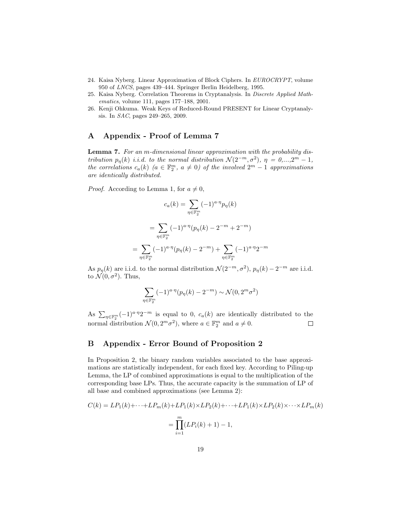- 24. Kaisa Nyberg. Linear Approximation of Block Ciphers. In EUROCRYPT, volume 950 of LNCS, pages 439–444. Springer Berlin Heidelberg, 1995.
- 25. Kaisa Nyberg. Correlation Theorems in Cryptanalysis. In Discrete Applied Mathematics, volume 111, pages 177–188, 2001.
- 26. Kenji Ohkuma. Weak Keys of Reduced-Round PRESENT for Linear Cryptanalysis. In SAC, pages 249–265, 2009.

# A Appendix - Proof of Lemma 7

Lemma 7. For an m-dimensional linear approximation with the probability distribution  $p_{\eta}(k)$  i.i.d. to the normal distribution  $\mathcal{N}(2^{-m}, \sigma^2)$ ,  $\eta = 0, \ldots, 2^m - 1$ , the correlations  $c_a(k)$   $(a \in \mathbb{F}_2^m, a \neq 0)$  of the involved  $2^m - 1$  approximations are identically distributed.

*Proof.* According to Lemma 1, for  $a \neq 0$ ,

$$
c_a(k) = \sum_{\eta \in \mathbb{F}_2^m} (-1)^{a \cdot \eta} p_{\eta}(k)
$$

$$
= \sum_{\eta \in \mathbb{F}_2^m} (-1)^{a \cdot \eta} (p_\eta(k) - 2^{-m} + 2^{-m})
$$
  
= 
$$
\sum_{\eta \in \mathbb{F}_2^m} (-1)^{a \cdot \eta} (p_\eta(k) - 2^{-m}) + \sum_{\eta \in \mathbb{F}_2^m} (-1)^{a \cdot \eta} 2^{-m}
$$

As  $p_{\eta}(k)$  are i.i.d. to the normal distribution  $\mathcal{N}(2^{-m}, \sigma^2)$ ,  $p_{\eta}(k) - 2^{-m}$  are i.i.d. to  $\mathcal{N}(0, \sigma^2)$ . Thus,

$$
\sum_{\eta \in \mathbb{F}_2^m} (-1)^{a \cdot \eta} (p_\eta(k) - 2^{-m}) \sim \mathcal{N}(0, 2^m \sigma^2)
$$

As  $\sum_{\eta \in \mathbb{F}_2^m} (-1)^{a \cdot \eta} 2^{-m}$  is equal to 0,  $c_a(k)$  are identically distributed to the normal distribution  $\mathcal{N}(0, 2^m \sigma^2)$ , where  $a \in \mathbb{F}_2^m$  and  $a \neq 0$ .  $\Box$ 

## B Appendix - Error Bound of Proposition 2

In Proposition 2, the binary random variables associated to the base approximations are statistically independent, for each fixed key. According to Piling-up Lemma, the LP of combined approximations is equal to the multiplication of the corresponding base LPs. Thus, the accurate capacity is the summation of LP of all base and combined approximations (see Lemma 2):

$$
C(k) = LP_1(k) + \dots + LP_m(k) + LP_1(k) \times LP_2(k) + \dots + LP_1(k) \times LP_2(k) \times \dots \times LP_m(k)
$$
  
= 
$$
\prod_{i=1}^m (LP_i(k) + 1) - 1,
$$